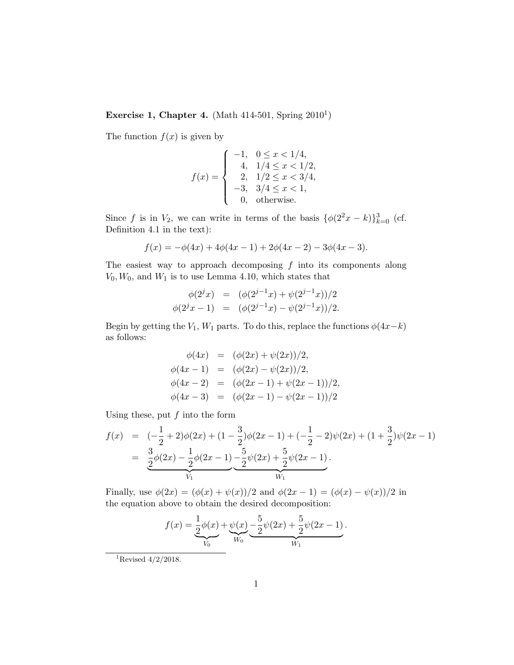## Exercise 1, Chapter 4. (Math  $414-501$ , Spring  $2010<sup>1</sup>$ )

The function  $f(x)$  is given by

$$
f(x) = \begin{cases}\n-1, & 0 \le x < 1/4, \\
4, & 1/4 \le x < 1/2, \\
2, & 1/2 \le x < 3/4, \\
-3, & 3/4 \le x < 1, \\
0, & \text{otherwise.} \n\end{cases}
$$

Since f is in  $V_2$ , we can write in terms of the basis  $\{\phi(2^2x - k)\}_{k=0}^3$  (cf. Definition 4.1 in the text):

$$
f(x) = -\phi(4x) + 4\phi(4x - 1) + 2\phi(4x - 2) - 3\phi(4x - 3).
$$

The easiest way to approach decomposing  $f$  into its components along  $V_0, W_0$ , and  $W_1$  is to use Lemma 4.10, which states that

$$
\begin{array}{rcl}\n\phi(2^jx) & = & (\phi(2^{j-1}x) + \psi(2^{j-1}x))/2 \\
\phi(2^jx - 1) & = & (\phi(2^{j-1}x) - \psi(2^{j-1}x))/2.\n\end{array}
$$

Begin by getting the  $V_1$ ,  $W_1$  parts. To do this, replace the functions  $\phi(4x-k)$ as follows:

$$
\begin{array}{rcl}\n\phi(4x) & = & (\phi(2x) + \psi(2x))/2, \\
\phi(4x - 1) & = & (\phi(2x) - \psi(2x))/2, \\
\phi(4x - 2) & = & (\phi(2x - 1) + \psi(2x - 1))/2, \\
\phi(4x - 3) & = & (\phi(2x - 1) - \psi(2x - 1))/2\n\end{array}
$$

Using these, put  $f$  into the form

$$
f(x) = (-\frac{1}{2} + 2)\phi(2x) + (1 - \frac{3}{2})\phi(2x - 1) + (-\frac{1}{2} - 2)\psi(2x) + (1 + \frac{3}{2})\psi(2x - 1)
$$
  
= 
$$
\underbrace{\frac{3}{2}\phi(2x) - \frac{1}{2}\phi(2x - 1)}_{V_1} - \underbrace{\frac{5}{2}\psi(2x) + \frac{5}{2}\psi(2x - 1)}_{W_1}.
$$

Finally, use  $\phi(2x) = (\phi(x) + \psi(x))/2$  and  $\phi(2x - 1) = (\phi(x) - \psi(x))/2$  in the equation above to obtain the desired decomposition:

$$
f(x) = \underbrace{\frac{1}{2}\phi(x)}_{V_0} + \underbrace{\psi(x)}_{W_0} - \underbrace{\frac{5}{2}\psi(2x)}_{W_1} + \underbrace{\frac{5}{2}\psi(2x-1)}_{W_1}.
$$

<sup>1</sup>Revised  $4/2/2018$ .